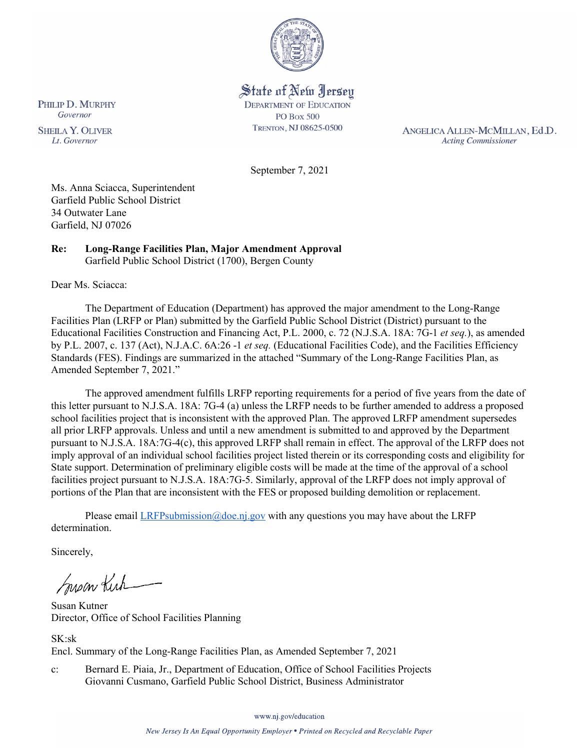

State of New Jersey **DEPARTMENT OF EDUCATION PO Box 500** TRENTON, NJ 08625-0500

ANGELICA ALLEN-MCMILLAN, Ed.D. **Acting Commissioner** 

September 7, 2021

Ms. Anna Sciacca, Superintendent Garfield Public School District 34 Outwater Lane Garfield, NJ 07026

#### **Re: Long-Range Facilities Plan, Major Amendment Approval**  Garfield Public School District (1700), Bergen County

Dear Ms. Sciacca:

The Department of Education (Department) has approved the major amendment to the Long-Range Facilities Plan (LRFP or Plan) submitted by the Garfield Public School District (District) pursuant to the Educational Facilities Construction and Financing Act, P.L. 2000, c. 72 (N.J.S.A. 18A: 7G-1 *et seq.*), as amended by P.L. 2007, c. 137 (Act), N.J.A.C. 6A:26 -1 *et seq.* (Educational Facilities Code), and the Facilities Efficiency Standards (FES). Findings are summarized in the attached "Summary of the Long-Range Facilities Plan, as Amended September 7, 2021."

The approved amendment fulfills LRFP reporting requirements for a period of five years from the date of this letter pursuant to N.J.S.A. 18A: 7G-4 (a) unless the LRFP needs to be further amended to address a proposed school facilities project that is inconsistent with the approved Plan. The approved LRFP amendment supersedes all prior LRFP approvals. Unless and until a new amendment is submitted to and approved by the Department pursuant to N.J.S.A. 18A:7G-4(c), this approved LRFP shall remain in effect. The approval of the LRFP does not imply approval of an individual school facilities project listed therein or its corresponding costs and eligibility for State support. Determination of preliminary eligible costs will be made at the time of the approval of a school facilities project pursuant to N.J.S.A. 18A:7G-5. Similarly, approval of the LRFP does not imply approval of portions of the Plan that are inconsistent with the FES or proposed building demolition or replacement.

Please email *LRFPsubmission@doe.nj.gov* with any questions you may have about the LRFP determination.

Sincerely,

Susan Kich

Susan Kutner Director, Office of School Facilities Planning

SK:sk Encl. Summary of the Long-Range Facilities Plan, as Amended September 7, 2021

c: Bernard E. Piaia, Jr., Department of Education, Office of School Facilities Projects Giovanni Cusmano, Garfield Public School District, Business Administrator

www.nj.gov/education

PHILIP D. MURPHY Governor

**SHEILA Y. OLIVER** Lt. Governor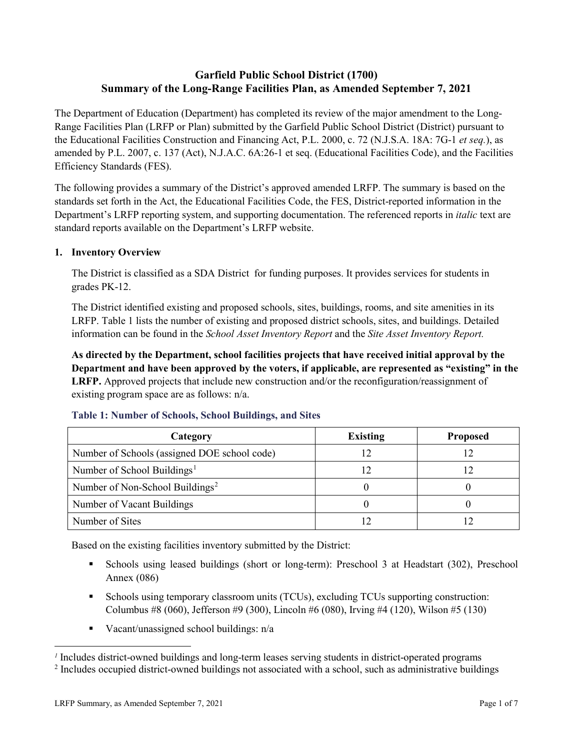# **Garfield Public School District (1700) Summary of the Long-Range Facilities Plan, as Amended September 7, 2021**

The Department of Education (Department) has completed its review of the major amendment to the Long-Range Facilities Plan (LRFP or Plan) submitted by the Garfield Public School District (District) pursuant to the Educational Facilities Construction and Financing Act, P.L. 2000, c. 72 (N.J.S.A. 18A: 7G-1 *et seq.*), as amended by P.L. 2007, c. 137 (Act), N.J.A.C. 6A:26-1 et seq. (Educational Facilities Code), and the Facilities Efficiency Standards (FES).

The following provides a summary of the District's approved amended LRFP. The summary is based on the standards set forth in the Act, the Educational Facilities Code, the FES, District-reported information in the Department's LRFP reporting system, and supporting documentation. The referenced reports in *italic* text are standard reports available on the Department's LRFP website.

#### **1. Inventory Overview**

The District is classified as a SDA District for funding purposes. It provides services for students in grades PK-12.

The District identified existing and proposed schools, sites, buildings, rooms, and site amenities in its LRFP. Table 1 lists the number of existing and proposed district schools, sites, and buildings. Detailed information can be found in the *School Asset Inventory Report* and the *Site Asset Inventory Report.*

**As directed by the Department, school facilities projects that have received initial approval by the Department and have been approved by the voters, if applicable, are represented as "existing" in the LRFP.** Approved projects that include new construction and/or the reconfiguration/reassignment of existing program space are as follows: n/a.

| Category                                     | <b>Existing</b> | <b>Proposed</b> |
|----------------------------------------------|-----------------|-----------------|
| Number of Schools (assigned DOE school code) |                 |                 |
| Number of School Buildings <sup>1</sup>      |                 |                 |
| Number of Non-School Buildings <sup>2</sup>  |                 |                 |
| Number of Vacant Buildings                   |                 |                 |
| Number of Sites                              |                 |                 |

#### **Table 1: Number of Schools, School Buildings, and Sites**

Based on the existing facilities inventory submitted by the District:

- Schools using leased buildings (short or long-term): Preschool 3 at Headstart (302), Preschool Annex (086)
- Schools using temporary classroom units (TCUs), excluding TCUs supporting construction: Columbus #8 (060), Jefferson #9 (300), Lincoln #6 (080), Irving #4 (120), Wilson #5 (130)
- Vacant/unassigned school buildings:  $n/a$

 $\overline{a}$ 

<span id="page-1-1"></span><span id="page-1-0"></span>*<sup>1</sup>* Includes district-owned buildings and long-term leases serving students in district-operated programs

<sup>&</sup>lt;sup>2</sup> Includes occupied district-owned buildings not associated with a school, such as administrative buildings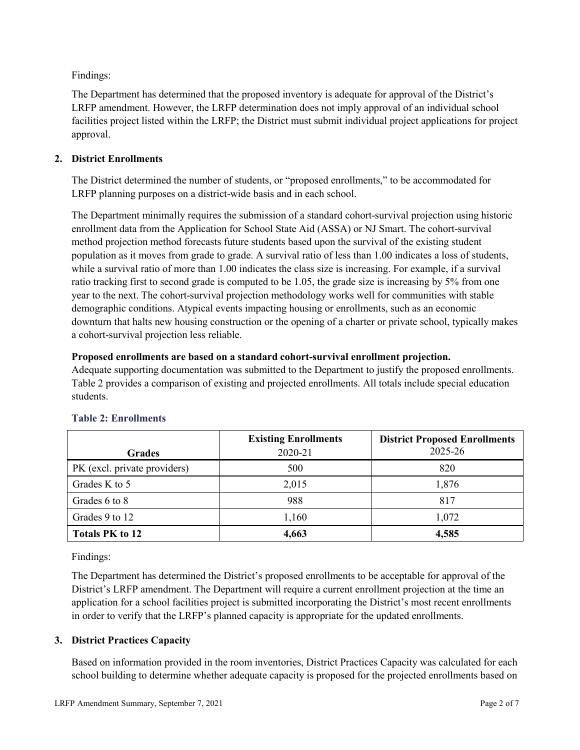Findings:

The Department has determined that the proposed inventory is adequate for approval of the District's LRFP amendment. However, the LRFP determination does not imply approval of an individual school facilities project listed within the LRFP; the District must submit individual project applications for project approval.

## **2. District Enrollments**

The District determined the number of students, or "proposed enrollments," to be accommodated for LRFP planning purposes on a district-wide basis and in each school.

The Department minimally requires the submission of a standard cohort-survival projection using historic enrollment data from the Application for School State Aid (ASSA) or NJ Smart. The cohort-survival method projection method forecasts future students based upon the survival of the existing student population as it moves from grade to grade. A survival ratio of less than 1.00 indicates a loss of students, while a survival ratio of more than 1.00 indicates the class size is increasing. For example, if a survival ratio tracking first to second grade is computed to be 1.05, the grade size is increasing by 5% from one year to the next. The cohort-survival projection methodology works well for communities with stable demographic conditions. Atypical events impacting housing or enrollments, such as an economic downturn that halts new housing construction or the opening of a charter or private school, typically makes a cohort-survival projection less reliable.

## **Proposed enrollments are based on a standard cohort-survival enrollment projection.**

Adequate supporting documentation was submitted to the Department to justify the proposed enrollments. Table 2 provides a comparison of existing and projected enrollments. All totals include special education students.

|                              | <b>Existing Enrollments</b> | <b>District Proposed Enrollments</b> |
|------------------------------|-----------------------------|--------------------------------------|
| <b>Grades</b>                | 2020-21                     | 2025-26                              |
| PK (excl. private providers) | 500                         | 820                                  |
| Grades K to 5                | 2,015                       | 1,876                                |
| Grades 6 to 8                | 988                         | 817                                  |
| Grades 9 to 12               | 1,160                       | 1,072                                |
| <b>Totals PK to 12</b>       | 4,663                       | 4,585                                |

# **Table 2: Enrollments**

Findings:

The Department has determined the District's proposed enrollments to be acceptable for approval of the District's LRFP amendment. The Department will require a current enrollment projection at the time an application for a school facilities project is submitted incorporating the District's most recent enrollments in order to verify that the LRFP's planned capacity is appropriate for the updated enrollments.

# **3. District Practices Capacity**

Based on information provided in the room inventories, District Practices Capacity was calculated for each school building to determine whether adequate capacity is proposed for the projected enrollments based on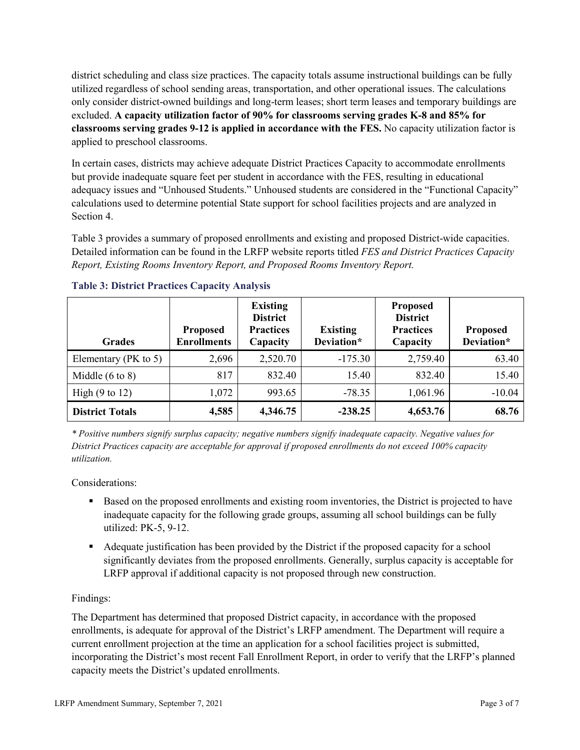district scheduling and class size practices. The capacity totals assume instructional buildings can be fully utilized regardless of school sending areas, transportation, and other operational issues. The calculations only consider district-owned buildings and long-term leases; short term leases and temporary buildings are excluded. **A capacity utilization factor of 90% for classrooms serving grades K-8 and 85% for classrooms serving grades 9-12 is applied in accordance with the FES.** No capacity utilization factor is applied to preschool classrooms.

In certain cases, districts may achieve adequate District Practices Capacity to accommodate enrollments but provide inadequate square feet per student in accordance with the FES, resulting in educational adequacy issues and "Unhoused Students." Unhoused students are considered in the "Functional Capacity" calculations used to determine potential State support for school facilities projects and are analyzed in Section 4.

Table 3 provides a summary of proposed enrollments and existing and proposed District-wide capacities. Detailed information can be found in the LRFP website reports titled *FES and District Practices Capacity Report, Existing Rooms Inventory Report, and Proposed Rooms Inventory Report.*

| <b>Grades</b>              | <b>Proposed</b><br><b>Enrollments</b> | <b>Existing</b><br><b>District</b><br><b>Practices</b><br>Capacity | <b>Existing</b><br>Deviation* | <b>Proposed</b><br><b>District</b><br><b>Practices</b><br>Capacity | <b>Proposed</b><br>Deviation* |
|----------------------------|---------------------------------------|--------------------------------------------------------------------|-------------------------------|--------------------------------------------------------------------|-------------------------------|
| Elementary ( $PK$ to 5)    | 2,696                                 | 2,520.70                                                           | $-175.30$                     | 2,759.40                                                           | 63.40                         |
| Middle $(6 \text{ to } 8)$ | 817                                   | 832.40                                                             | 15.40                         | 832.40                                                             | 15.40                         |
| High $(9 \text{ to } 12)$  | 1,072                                 | 993.65                                                             | $-78.35$                      | 1,061.96                                                           | $-10.04$                      |
| <b>District Totals</b>     | 4,585                                 | 4,346.75                                                           | $-238.25$                     | 4,653.76                                                           | 68.76                         |

## **Table 3: District Practices Capacity Analysis**

*\* Positive numbers signify surplus capacity; negative numbers signify inadequate capacity. Negative values for District Practices capacity are acceptable for approval if proposed enrollments do not exceed 100% capacity utilization.*

Considerations:

- Based on the proposed enrollments and existing room inventories, the District is projected to have inadequate capacity for the following grade groups, assuming all school buildings can be fully utilized: PK-5, 9-12.
- Adequate justification has been provided by the District if the proposed capacity for a school significantly deviates from the proposed enrollments. Generally, surplus capacity is acceptable for LRFP approval if additional capacity is not proposed through new construction.

## Findings:

The Department has determined that proposed District capacity, in accordance with the proposed enrollments, is adequate for approval of the District's LRFP amendment. The Department will require a current enrollment projection at the time an application for a school facilities project is submitted, incorporating the District's most recent Fall Enrollment Report, in order to verify that the LRFP's planned capacity meets the District's updated enrollments.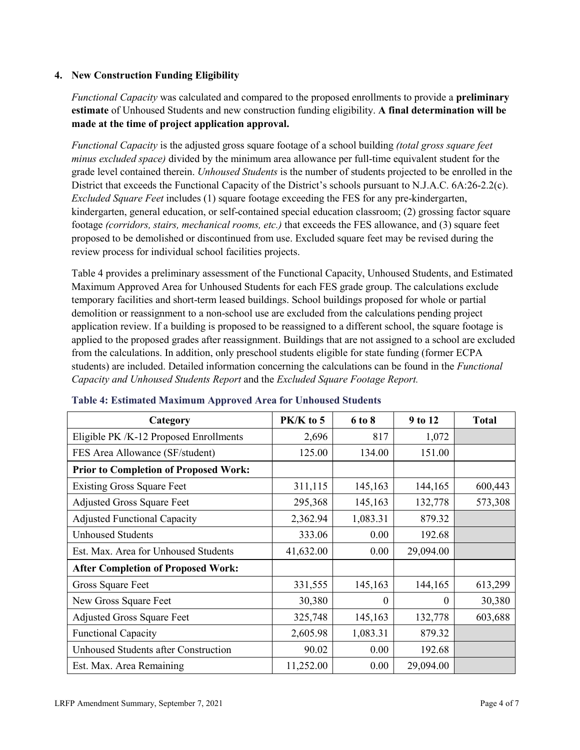### **4. New Construction Funding Eligibility**

*Functional Capacity* was calculated and compared to the proposed enrollments to provide a **preliminary estimate** of Unhoused Students and new construction funding eligibility. **A final determination will be made at the time of project application approval.**

*Functional Capacity* is the adjusted gross square footage of a school building *(total gross square feet minus excluded space)* divided by the minimum area allowance per full-time equivalent student for the grade level contained therein. *Unhoused Students* is the number of students projected to be enrolled in the District that exceeds the Functional Capacity of the District's schools pursuant to N.J.A.C. 6A:26-2.2(c). *Excluded Square Feet* includes (1) square footage exceeding the FES for any pre-kindergarten, kindergarten, general education, or self-contained special education classroom; (2) grossing factor square footage *(corridors, stairs, mechanical rooms, etc.)* that exceeds the FES allowance, and (3) square feet proposed to be demolished or discontinued from use. Excluded square feet may be revised during the review process for individual school facilities projects.

Table 4 provides a preliminary assessment of the Functional Capacity, Unhoused Students, and Estimated Maximum Approved Area for Unhoused Students for each FES grade group. The calculations exclude temporary facilities and short-term leased buildings. School buildings proposed for whole or partial demolition or reassignment to a non-school use are excluded from the calculations pending project application review. If a building is proposed to be reassigned to a different school, the square footage is applied to the proposed grades after reassignment. Buildings that are not assigned to a school are excluded from the calculations. In addition, only preschool students eligible for state funding (former ECPA students) are included. Detailed information concerning the calculations can be found in the *Functional Capacity and Unhoused Students Report* and the *Excluded Square Footage Report.*

| Category                                     | PK/K to 5 | 6 to 8   | 9 to 12   | <b>Total</b> |
|----------------------------------------------|-----------|----------|-----------|--------------|
| Eligible PK /K-12 Proposed Enrollments       | 2,696     | 817      | 1,072     |              |
| FES Area Allowance (SF/student)              | 125.00    | 134.00   | 151.00    |              |
| <b>Prior to Completion of Proposed Work:</b> |           |          |           |              |
| <b>Existing Gross Square Feet</b>            | 311,115   | 145,163  | 144,165   | 600,443      |
| <b>Adjusted Gross Square Feet</b>            | 295,368   | 145,163  | 132,778   | 573,308      |
| <b>Adjusted Functional Capacity</b>          | 2,362.94  | 1,083.31 | 879.32    |              |
| <b>Unhoused Students</b>                     | 333.06    | 0.00     | 192.68    |              |
| Est. Max. Area for Unhoused Students         | 41,632.00 | 0.00     | 29,094.00 |              |
| <b>After Completion of Proposed Work:</b>    |           |          |           |              |
| Gross Square Feet                            | 331,555   | 145,163  | 144,165   | 613,299      |
| New Gross Square Feet                        | 30,380    | 0        | $\theta$  | 30,380       |
| <b>Adjusted Gross Square Feet</b>            | 325,748   | 145,163  | 132,778   | 603,688      |
| <b>Functional Capacity</b>                   | 2,605.98  | 1,083.31 | 879.32    |              |
| <b>Unhoused Students after Construction</b>  | 90.02     | 0.00     | 192.68    |              |
| Est. Max. Area Remaining                     | 11,252.00 | 0.00     | 29,094.00 |              |

#### **Table 4: Estimated Maximum Approved Area for Unhoused Students**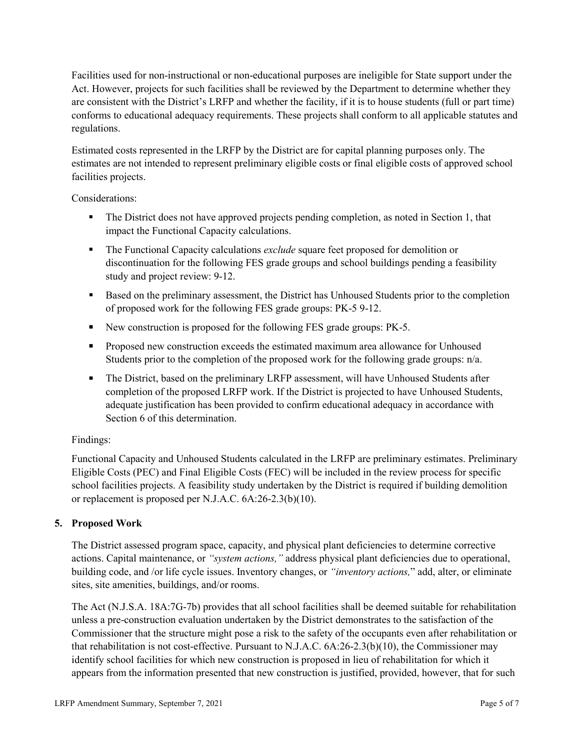Facilities used for non-instructional or non-educational purposes are ineligible for State support under the Act. However, projects for such facilities shall be reviewed by the Department to determine whether they are consistent with the District's LRFP and whether the facility, if it is to house students (full or part time) conforms to educational adequacy requirements. These projects shall conform to all applicable statutes and regulations.

Estimated costs represented in the LRFP by the District are for capital planning purposes only. The estimates are not intended to represent preliminary eligible costs or final eligible costs of approved school facilities projects.

Considerations:

- The District does not have approved projects pending completion, as noted in Section 1, that impact the Functional Capacity calculations.
- **The Functional Capacity calculations** *exclude* square feet proposed for demolition or discontinuation for the following FES grade groups and school buildings pending a feasibility study and project review: 9-12.
- Based on the preliminary assessment, the District has Unhoused Students prior to the completion of proposed work for the following FES grade groups: PK-5 9-12.
- New construction is proposed for the following FES grade groups: PK-5.
- Proposed new construction exceeds the estimated maximum area allowance for Unhoused Students prior to the completion of the proposed work for the following grade groups: n/a.
- The District, based on the preliminary LRFP assessment, will have Unhoused Students after completion of the proposed LRFP work. If the District is projected to have Unhoused Students, adequate justification has been provided to confirm educational adequacy in accordance with Section 6 of this determination.

## Findings:

Functional Capacity and Unhoused Students calculated in the LRFP are preliminary estimates. Preliminary Eligible Costs (PEC) and Final Eligible Costs (FEC) will be included in the review process for specific school facilities projects. A feasibility study undertaken by the District is required if building demolition or replacement is proposed per N.J.A.C. 6A:26-2.3(b)(10).

## **5. Proposed Work**

The District assessed program space, capacity, and physical plant deficiencies to determine corrective actions. Capital maintenance, or *"system actions,"* address physical plant deficiencies due to operational, building code, and /or life cycle issues. Inventory changes, or *"inventory actions,*" add, alter, or eliminate sites, site amenities, buildings, and/or rooms.

The Act (N.J.S.A. 18A:7G-7b) provides that all school facilities shall be deemed suitable for rehabilitation unless a pre-construction evaluation undertaken by the District demonstrates to the satisfaction of the Commissioner that the structure might pose a risk to the safety of the occupants even after rehabilitation or that rehabilitation is not cost-effective. Pursuant to N.J.A.C. 6A:26-2.3(b)(10), the Commissioner may identify school facilities for which new construction is proposed in lieu of rehabilitation for which it appears from the information presented that new construction is justified, provided, however, that for such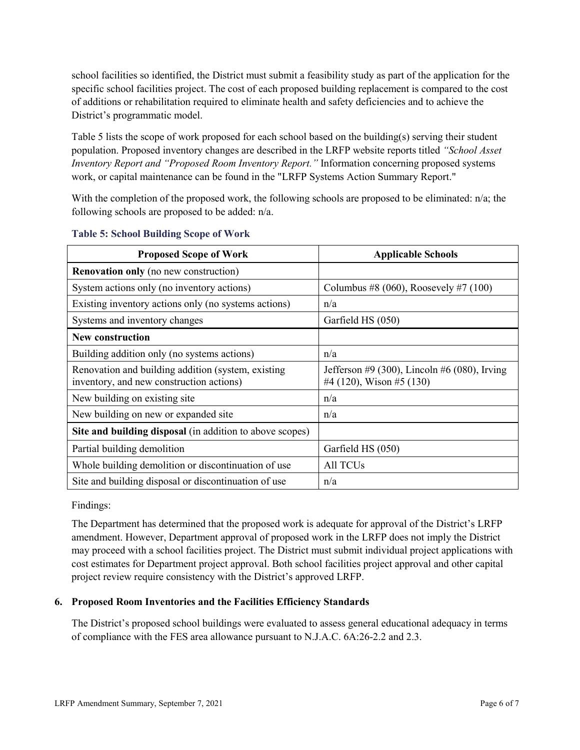school facilities so identified, the District must submit a feasibility study as part of the application for the specific school facilities project. The cost of each proposed building replacement is compared to the cost of additions or rehabilitation required to eliminate health and safety deficiencies and to achieve the District's programmatic model.

Table 5 lists the scope of work proposed for each school based on the building(s) serving their student population. Proposed inventory changes are described in the LRFP website reports titled *"School Asset Inventory Report and "Proposed Room Inventory Report."* Information concerning proposed systems work, or capital maintenance can be found in the "LRFP Systems Action Summary Report."

With the completion of the proposed work, the following schools are proposed to be eliminated:  $n/a$ ; the following schools are proposed to be added: n/a.

| <b>Proposed Scope of Work</b>                                                                  | <b>Applicable Schools</b>                                                |
|------------------------------------------------------------------------------------------------|--------------------------------------------------------------------------|
| <b>Renovation only</b> (no new construction)                                                   |                                                                          |
| System actions only (no inventory actions)                                                     | Columbus #8 (060), Roosevely #7 (100)                                    |
| Existing inventory actions only (no systems actions)                                           | n/a                                                                      |
| Systems and inventory changes                                                                  | Garfield HS (050)                                                        |
| <b>New construction</b>                                                                        |                                                                          |
| Building addition only (no systems actions)                                                    | n/a                                                                      |
| Renovation and building addition (system, existing<br>inventory, and new construction actions) | Jefferson #9 (300), Lincoln #6 (080), Irving<br>#4 (120), Wison #5 (130) |
| New building on existing site.                                                                 | n/a                                                                      |
| New building on new or expanded site                                                           | n/a                                                                      |
| Site and building disposal (in addition to above scopes)                                       |                                                                          |
| Partial building demolition                                                                    | Garfield HS (050)                                                        |
| Whole building demolition or discontinuation of use                                            | All TCU <sub>s</sub>                                                     |
| Site and building disposal or discontinuation of use                                           | n/a                                                                      |

#### **Table 5: School Building Scope of Work**

Findings:

The Department has determined that the proposed work is adequate for approval of the District's LRFP amendment. However, Department approval of proposed work in the LRFP does not imply the District may proceed with a school facilities project. The District must submit individual project applications with cost estimates for Department project approval. Both school facilities project approval and other capital project review require consistency with the District's approved LRFP.

## **6. Proposed Room Inventories and the Facilities Efficiency Standards**

The District's proposed school buildings were evaluated to assess general educational adequacy in terms of compliance with the FES area allowance pursuant to N.J.A.C. 6A:26-2.2 and 2.3.